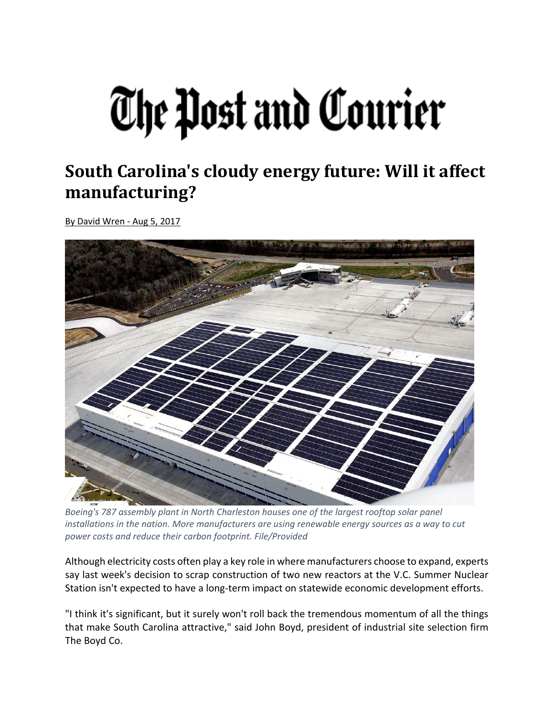## The Post and Courier

## **South Carolina's cloudy energy future: Will it affect manufacturing?**

By David Wren ‐ Aug 5, 2017



*Boeing's 787 assembly plant in North Charleston houses one of the largest rooftop solar panel installations in the nation. More manufacturers are using renewable energy sources as a way to cut power costs and reduce their carbon footprint. File/Provided*

Although electricity costs often play a key role in where manufacturers choose to expand, experts say last week's decision to scrap construction of two new reactors at the V.C. Summer Nuclear Station isn't expected to have a long‐term impact on statewide economic development efforts.

"I think it's significant, but it surely won't roll back the tremendous momentum of all the things that make South Carolina attractive," said John Boyd, president of industrial site selection firm The Boyd Co.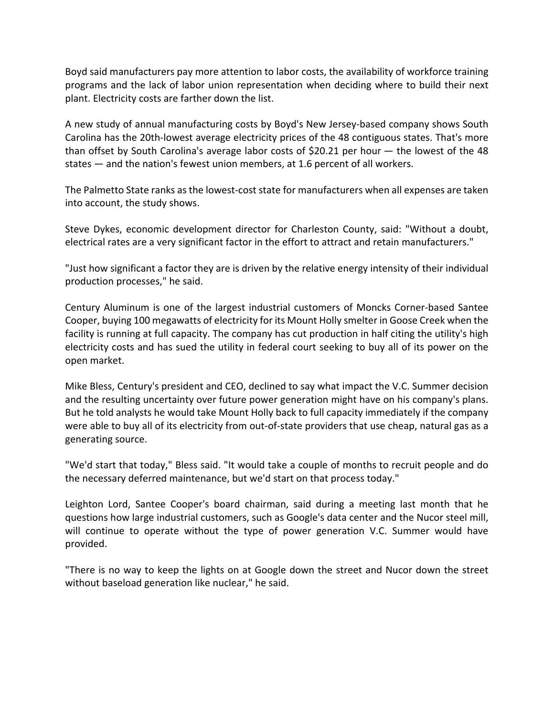Boyd said manufacturers pay more attention to labor costs, the availability of workforce training programs and the lack of labor union representation when deciding where to build their next plant. Electricity costs are farther down the list.

A new study of annual manufacturing costs by Boyd's New Jersey‐based company shows South Carolina has the 20th‐lowest average electricity prices of the 48 contiguous states. That's more than offset by South Carolina's average labor costs of \$20.21 per hour — the lowest of the 48 states — and the nation's fewest union members, at 1.6 percent of all workers.

The Palmetto State ranks as the lowest-cost state for manufacturers when all expenses are taken into account, the study shows.

Steve Dykes, economic development director for Charleston County, said: "Without a doubt, electrical rates are a very significant factor in the effort to attract and retain manufacturers."

"Just how significant a factor they are is driven by the relative energy intensity of their individual production processes," he said.

Century Aluminum is one of the largest industrial customers of Moncks Corner‐based Santee Cooper, buying 100 megawatts of electricity for its Mount Holly smelter in Goose Creek when the facility is running at full capacity. The company has cut production in half citing the utility's high electricity costs and has sued the utility in federal court seeking to buy all of its power on the open market.

Mike Bless, Century's president and CEO, declined to say what impact the V.C. Summer decision and the resulting uncertainty over future power generation might have on his company's plans. But he told analysts he would take Mount Holly back to full capacity immediately if the company were able to buy all of its electricity from out-of-state providers that use cheap, natural gas as a generating source.

"We'd start that today," Bless said. "It would take a couple of months to recruit people and do the necessary deferred maintenance, but we'd start on that process today."

Leighton Lord, Santee Cooper's board chairman, said during a meeting last month that he questions how large industrial customers, such as Google's data center and the Nucor steel mill, will continue to operate without the type of power generation V.C. Summer would have provided.

"There is no way to keep the lights on at Google down the street and Nucor down the street without baseload generation like nuclear," he said.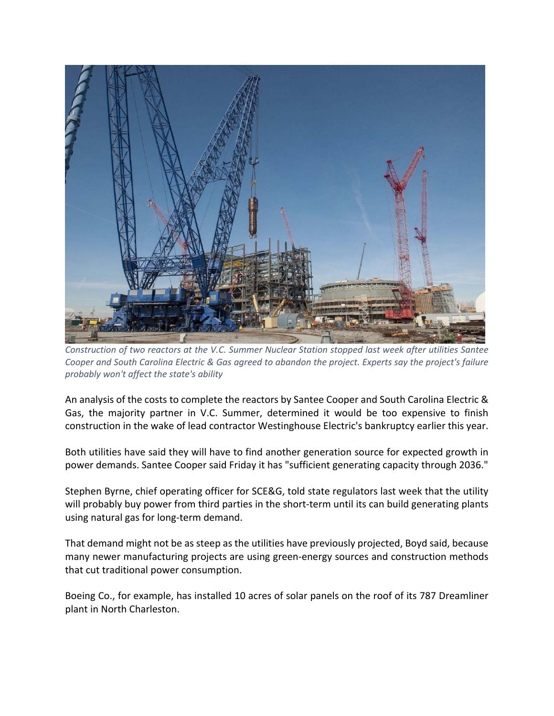

*Construction of two reactors at the V.C. Summer Nuclear Station stopped last week after utilities Santee Cooper and South Carolina Electric & Gas agreed to abandon the project. Experts say the project's failure probably won't affect the state's ability*

An analysis of the costs to complete the reactors by Santee Cooper and South Carolina Electric & Gas, the majority partner in V.C. Summer, determined it would be too expensive to finish construction in the wake of lead contractor Westinghouse Electric's bankruptcy earlier this year.

Both utilities have said they will have to find another generation source for expected growth in power demands. Santee Cooper said Friday it has "sufficient generating capacity through 2036."

Stephen Byrne, chief operating officer for SCE&G, told state regulators last week that the utility will probably buy power from third parties in the short-term until its can build generating plants using natural gas for long‐term demand.

That demand might not be as steep as the utilities have previously projected, Boyd said, because many newer manufacturing projects are using green‐energy sources and construction methods that cut traditional power consumption.

Boeing Co., for example, has installed 10 acres of solar panels on the roof of its 787 Dreamliner plant in North Charleston.